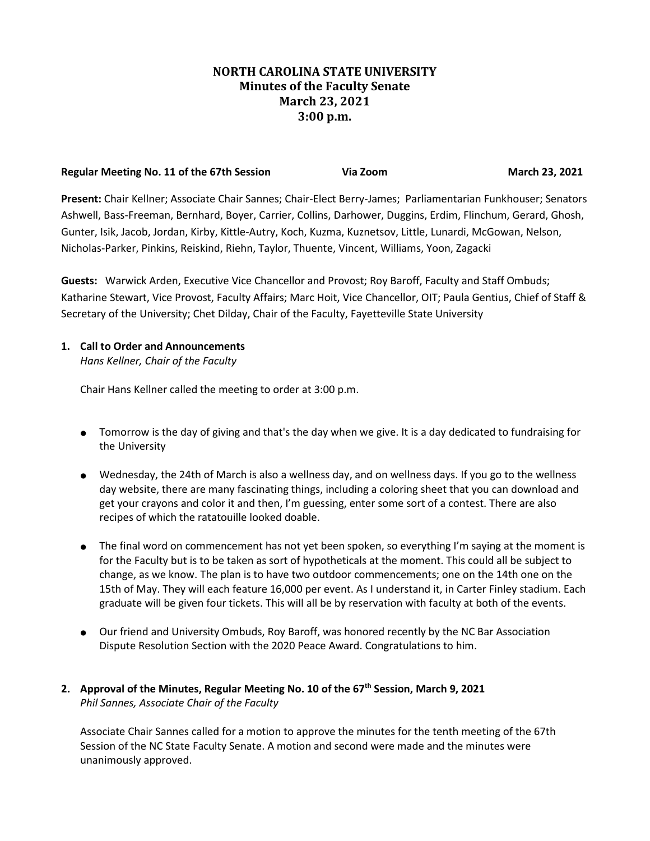# **NORTH CAROLINA STATE UNIVERSITY Minutes of the Faculty Senate March 23, 2021 3:00 p.m.**

| Regular Meeting No. 11 of the 67th Session | Via Zoom | March 23, 2021 |
|--------------------------------------------|----------|----------------|
|                                            |          |                |

**Present:** Chair Kellner; Associate Chair Sannes; Chair-Elect Berry-James; Parliamentarian Funkhouser; Senators Ashwell, Bass-Freeman, Bernhard, Boyer, Carrier, Collins, Darhower, Duggins, Erdim, Flinchum, Gerard, Ghosh, Gunter, Isik, Jacob, Jordan, Kirby, Kittle-Autry, Koch, Kuzma, Kuznetsov, Little, Lunardi, McGowan, Nelson, Nicholas-Parker, Pinkins, Reiskind, Riehn, Taylor, Thuente, Vincent, Williams, Yoon, Zagacki

**Guests:** Warwick Arden, Executive Vice Chancellor and Provost; Roy Baroff, Faculty and Staff Ombuds; Katharine Stewart, Vice Provost, Faculty Affairs; Marc Hoit, Vice Chancellor, OIT; Paula Gentius, Chief of Staff & Secretary of the University; Chet Dilday, Chair of the Faculty, Fayetteville State University

### **1. Call to Order and Announcements**

*Hans Kellner, Chair of the Faculty*

Chair Hans Kellner called the meeting to order at 3:00 p.m.

- Tomorrow is the day of giving and that's the day when we give. It is a day dedicated to fundraising for the University
- Wednesday, the 24th of March is also a wellness day, and on wellness days. If you go to the wellness day website, there are many fascinating things, including a coloring sheet that you can download and get your crayons and color it and then, I'm guessing, enter some sort of a contest. There are also recipes of which the ratatouille looked doable.
- The final word on commencement has not yet been spoken, so everything I'm saying at the moment is for the Faculty but is to be taken as sort of hypotheticals at the moment. This could all be subject to change, as we know. The plan is to have two outdoor commencements; one on the 14th one on the 15th of May. They will each feature 16,000 per event. As I understand it, in Carter Finley stadium. Each graduate will be given four tickets. This will all be by reservation with faculty at both of the events.
- Our friend and University Ombuds, Roy Baroff, was honored recently by the NC Bar Association Dispute Resolution Section with the 2020 Peace Award. Congratulations to him.

## **2. Approval of the Minutes, Regular Meeting No. 10 of the 67th Session, March 9, 2021** *Phil Sannes, Associate Chair of the Faculty*

Associate Chair Sannes called for a motion to approve the minutes for the tenth meeting of the 67th Session of the NC State Faculty Senate. A motion and second were made and the minutes were unanimously approved.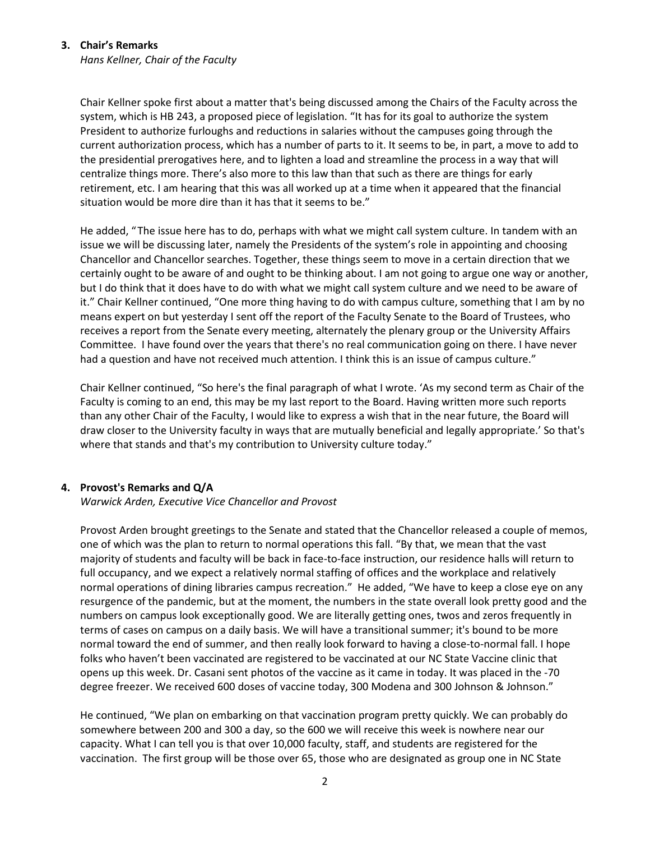#### **3. Chair's Remarks**

*Hans Kellner, Chair of the Faculty*

Chair Kellner spoke first about a matter that's being discussed among the Chairs of the Faculty across the system, which is HB 243, a proposed piece of legislation. "It has for its goal to authorize the system President to authorize furloughs and reductions in salaries without the campuses going through the current authorization process, which has a number of parts to it. It seems to be, in part, a move to add to the presidential prerogatives here, and to lighten a load and streamline the process in a way that will centralize things more. There's also more to this law than that such as there are things for early retirement, etc. I am hearing that this was all worked up at a time when it appeared that the financial situation would be more dire than it has that it seems to be."

He added, "The issue here has to do, perhaps with what we might call system culture. In tandem with an issue we will be discussing later, namely the Presidents of the system's role in appointing and choosing Chancellor and Chancellor searches. Together, these things seem to move in a certain direction that we certainly ought to be aware of and ought to be thinking about. I am not going to argue one way or another, but I do think that it does have to do with what we might call system culture and we need to be aware of it." Chair Kellner continued, "One more thing having to do with campus culture, something that I am by no means expert on but yesterday I sent off the report of the Faculty Senate to the Board of Trustees, who receives a report from the Senate every meeting, alternately the plenary group or the University Affairs Committee. I have found over the years that there's no real communication going on there. I have never had a question and have not received much attention. I think this is an issue of campus culture."

Chair Kellner continued, "So here's the final paragraph of what I wrote. 'As my second term as Chair of the Faculty is coming to an end, this may be my last report to the Board. Having written more such reports than any other Chair of the Faculty, I would like to express a wish that in the near future, the Board will draw closer to the University faculty in ways that are mutually beneficial and legally appropriate.' So that's where that stands and that's my contribution to University culture today."

#### **4. Provost's Remarks and Q/A**

#### *Warwick Arden, Executive Vice Chancellor and Provost*

Provost Arden brought greetings to the Senate and stated that the Chancellor released a couple of memos, one of which was the plan to return to normal operations this fall. "By that, we mean that the vast majority of students and faculty will be back in face-to-face instruction, our residence halls will return to full occupancy, and we expect a relatively normal staffing of offices and the workplace and relatively normal operations of dining libraries campus recreation." He added, "We have to keep a close eye on any resurgence of the pandemic, but at the moment, the numbers in the state overall look pretty good and the numbers on campus look exceptionally good. We are literally getting ones, twos and zeros frequently in terms of cases on campus on a daily basis. We will have a transitional summer; it's bound to be more normal toward the end of summer, and then really look forward to having a close-to-normal fall. I hope folks who haven't been vaccinated are registered to be vaccinated at our NC State Vaccine clinic that opens up this week. Dr. Casani sent photos of the vaccine as it came in today. It was placed in the -70 degree freezer. We received 600 doses of vaccine today, 300 Modena and 300 Johnson & Johnson."

He continued, "We plan on embarking on that vaccination program pretty quickly. We can probably do somewhere between 200 and 300 a day, so the 600 we will receive this week is nowhere near our capacity. What I can tell you is that over 10,000 faculty, staff, and students are registered for the vaccination. The first group will be those over 65, those who are designated as group one in NC State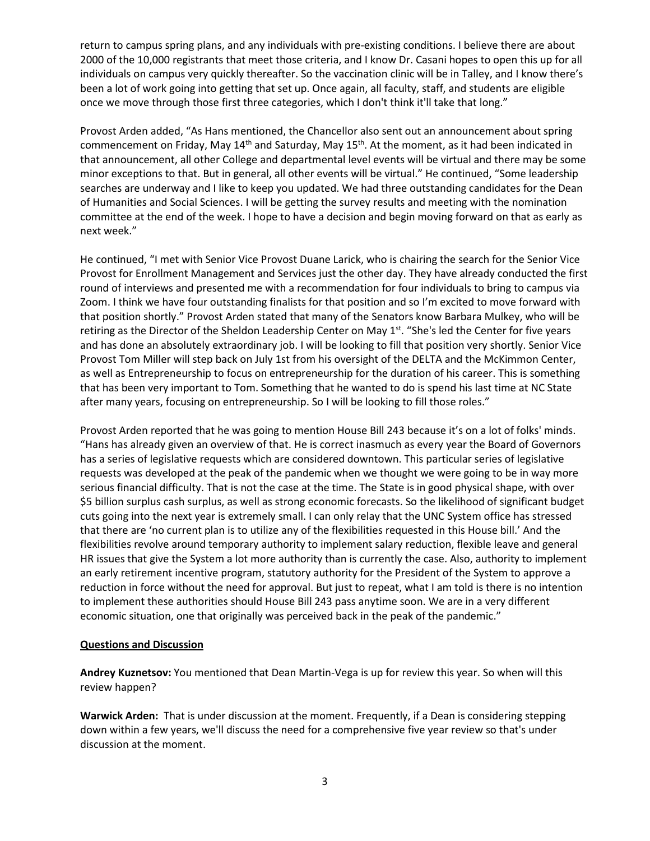return to campus spring plans, and any individuals with pre-existing conditions. I believe there are about 2000 of the 10,000 registrants that meet those criteria, and I know Dr. Casani hopes to open this up for all individuals on campus very quickly thereafter. So the vaccination clinic will be in Talley, and I know there's been a lot of work going into getting that set up. Once again, all faculty, staff, and students are eligible once we move through those first three categories, which I don't think it'll take that long."

Provost Arden added, "As Hans mentioned, the Chancellor also sent out an announcement about spring commencement on Friday, May 14<sup>th</sup> and Saturday, May 15<sup>th</sup>. At the moment, as it had been indicated in that announcement, all other College and departmental level events will be virtual and there may be some minor exceptions to that. But in general, all other events will be virtual." He continued, "Some leadership searches are underway and I like to keep you updated. We had three outstanding candidates for the Dean of Humanities and Social Sciences. I will be getting the survey results and meeting with the nomination committee at the end of the week. I hope to have a decision and begin moving forward on that as early as next week."

He continued, "I met with Senior Vice Provost Duane Larick, who is chairing the search for the Senior Vice Provost for Enrollment Management and Services just the other day. They have already conducted the first round of interviews and presented me with a recommendation for four individuals to bring to campus via Zoom. I think we have four outstanding finalists for that position and so I'm excited to move forward with that position shortly." Provost Arden stated that many of the Senators know Barbara Mulkey, who will be retiring as the Director of the Sheldon Leadership Center on May 1<sup>st</sup>. "She's led the Center for five years and has done an absolutely extraordinary job. I will be looking to fill that position very shortly. Senior Vice Provost Tom Miller will step back on July 1st from his oversight of the DELTA and the McKimmon Center, as well as Entrepreneurship to focus on entrepreneurship for the duration of his career. This is something that has been very important to Tom. Something that he wanted to do is spend his last time at NC State after many years, focusing on entrepreneurship. So I will be looking to fill those roles."

Provost Arden reported that he was going to mention House Bill 243 because it's on a lot of folks' minds. "Hans has already given an overview of that. He is correct inasmuch as every year the Board of Governors has a series of legislative requests which are considered downtown. This particular series of legislative requests was developed at the peak of the pandemic when we thought we were going to be in way more serious financial difficulty. That is not the case at the time. The State is in good physical shape, with over \$5 billion surplus cash surplus, as well as strong economic forecasts. So the likelihood of significant budget cuts going into the next year is extremely small. I can only relay that the UNC System office has stressed that there are 'no current plan is to utilize any of the flexibilities requested in this House bill.' And the flexibilities revolve around temporary authority to implement salary reduction, flexible leave and general HR issues that give the System a lot more authority than is currently the case. Also, authority to implement an early retirement incentive program, statutory authority for the President of the System to approve a reduction in force without the need for approval. But just to repeat, what I am told is there is no intention to implement these authorities should House Bill 243 pass anytime soon. We are in a very different economic situation, one that originally was perceived back in the peak of the pandemic."

#### **Questions and Discussion**

**Andrey Kuznetsov:** You mentioned that Dean Martin-Vega is up for review this year. So when will this review happen?

**Warwick Arden:** That is under discussion at the moment. Frequently, if a Dean is considering stepping down within a few years, we'll discuss the need for a comprehensive five year review so that's under discussion at the moment.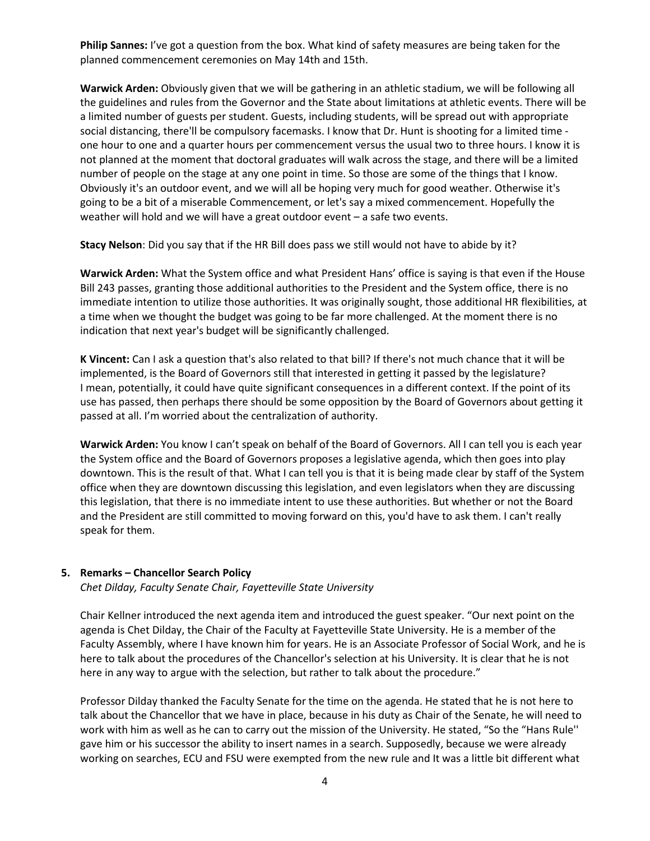**Philip Sannes:** I've got a question from the box. What kind of safety measures are being taken for the planned commencement ceremonies on May 14th and 15th.

**Warwick Arden:** Obviously given that we will be gathering in an athletic stadium, we will be following all the guidelines and rules from the Governor and the State about limitations at athletic events. There will be a limited number of guests per student. Guests, including students, will be spread out with appropriate social distancing, there'll be compulsory facemasks. I know that Dr. Hunt is shooting for a limited time one hour to one and a quarter hours per commencement versus the usual two to three hours. I know it is not planned at the moment that doctoral graduates will walk across the stage, and there will be a limited number of people on the stage at any one point in time. So those are some of the things that I know. Obviously it's an outdoor event, and we will all be hoping very much for good weather. Otherwise it's going to be a bit of a miserable Commencement, or let's say a mixed commencement. Hopefully the weather will hold and we will have a great outdoor event – a safe two events.

**Stacy Nelson**: Did you say that if the HR Bill does pass we still would not have to abide by it?

**Warwick Arden:** What the System office and what President Hans' office is saying is that even if the House Bill 243 passes, granting those additional authorities to the President and the System office, there is no immediate intention to utilize those authorities. It was originally sought, those additional HR flexibilities, at a time when we thought the budget was going to be far more challenged. At the moment there is no indication that next year's budget will be significantly challenged.

**K Vincent:** Can I ask a question that's also related to that bill? If there's not much chance that it will be implemented, is the Board of Governors still that interested in getting it passed by the legislature? I mean, potentially, it could have quite significant consequences in a different context. If the point of its use has passed, then perhaps there should be some opposition by the Board of Governors about getting it passed at all. I'm worried about the centralization of authority.

**Warwick Arden:** You know I can't speak on behalf of the Board of Governors. All I can tell you is each year the System office and the Board of Governors proposes a legislative agenda, which then goes into play downtown. This is the result of that. What I can tell you is that it is being made clear by staff of the System office when they are downtown discussing this legislation, and even legislators when they are discussing this legislation, that there is no immediate intent to use these authorities. But whether or not the Board and the President are still committed to moving forward on this, you'd have to ask them. I can't really speak for them.

#### **5. Remarks – Chancellor Search Policy**

*Chet Dilday, Faculty Senate Chair, Fayetteville State University* 

Chair Kellner introduced the next agenda item and introduced the guest speaker. "Our next point on the agenda is Chet Dilday, the Chair of the Faculty at Fayetteville State University. He is a member of the Faculty Assembly, where I have known him for years. He is an Associate Professor of Social Work, and he is here to talk about the procedures of the Chancellor's selection at his University. It is clear that he is not here in any way to argue with the selection, but rather to talk about the procedure."

Professor Dilday thanked the Faculty Senate for the time on the agenda. He stated that he is not here to talk about the Chancellor that we have in place, because in his duty as Chair of the Senate, he will need to work with him as well as he can to carry out the mission of the University. He stated, "So the "Hans Rule'' gave him or his successor the ability to insert names in a search. Supposedly, because we were already working on searches, ECU and FSU were exempted from the new rule and It was a little bit different what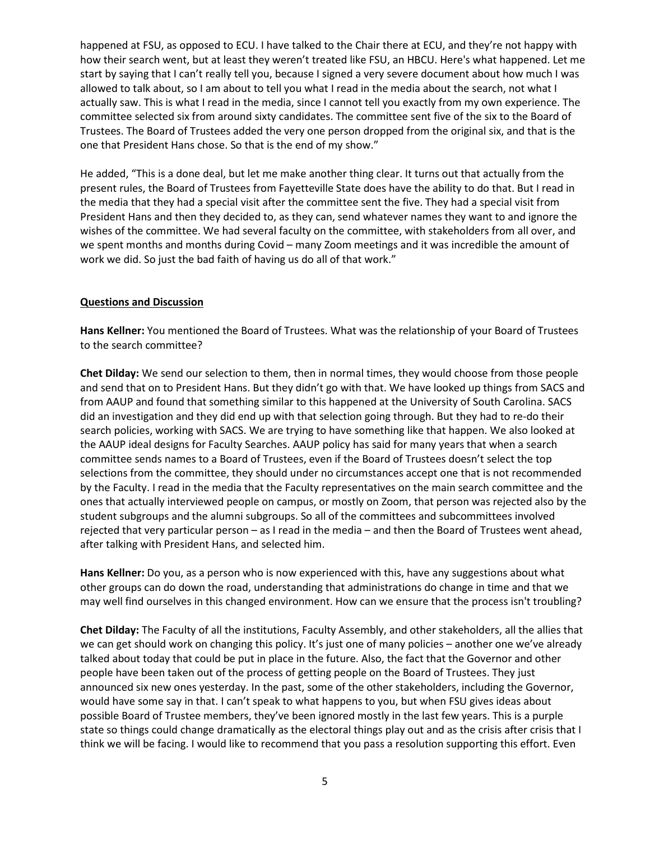happened at FSU, as opposed to ECU. I have talked to the Chair there at ECU, and they're not happy with how their search went, but at least they weren't treated like FSU, an HBCU. Here's what happened. Let me start by saying that I can't really tell you, because I signed a very severe document about how much I was allowed to talk about, so I am about to tell you what I read in the media about the search, not what I actually saw. This is what I read in the media, since I cannot tell you exactly from my own experience. The committee selected six from around sixty candidates. The committee sent five of the six to the Board of Trustees. The Board of Trustees added the very one person dropped from the original six, and that is the one that President Hans chose. So that is the end of my show."

He added, "This is a done deal, but let me make another thing clear. It turns out that actually from the present rules, the Board of Trustees from Fayetteville State does have the ability to do that. But I read in the media that they had a special visit after the committee sent the five. They had a special visit from President Hans and then they decided to, as they can, send whatever names they want to and ignore the wishes of the committee. We had several faculty on the committee, with stakeholders from all over, and we spent months and months during Covid – many Zoom meetings and it was incredible the amount of work we did. So just the bad faith of having us do all of that work."

#### **Questions and Discussion**

**Hans Kellner:** You mentioned the Board of Trustees. What was the relationship of your Board of Trustees to the search committee?

**Chet Dilday:** We send our selection to them, then in normal times, they would choose from those people and send that on to President Hans. But they didn't go with that. We have looked up things from SACS and from AAUP and found that something similar to this happened at the University of South Carolina. SACS did an investigation and they did end up with that selection going through. But they had to re-do their search policies, working with SACS. We are trying to have something like that happen. We also looked at the AAUP ideal designs for Faculty Searches. AAUP policy has said for many years that when a search committee sends names to a Board of Trustees, even if the Board of Trustees doesn't select the top selections from the committee, they should under no circumstances accept one that is not recommended by the Faculty. I read in the media that the Faculty representatives on the main search committee and the ones that actually interviewed people on campus, or mostly on Zoom, that person was rejected also by the student subgroups and the alumni subgroups. So all of the committees and subcommittees involved rejected that very particular person – as I read in the media – and then the Board of Trustees went ahead, after talking with President Hans, and selected him.

**Hans Kellner:** Do you, as a person who is now experienced with this, have any suggestions about what other groups can do down the road, understanding that administrations do change in time and that we may well find ourselves in this changed environment. How can we ensure that the process isn't troubling?

**Chet Dilday:** The Faculty of all the institutions, Faculty Assembly, and other stakeholders, all the allies that we can get should work on changing this policy. It's just one of many policies – another one we've already talked about today that could be put in place in the future. Also, the fact that the Governor and other people have been taken out of the process of getting people on the Board of Trustees. They just announced six new ones yesterday. In the past, some of the other stakeholders, including the Governor, would have some say in that. I can't speak to what happens to you, but when FSU gives ideas about possible Board of Trustee members, they've been ignored mostly in the last few years. This is a purple state so things could change dramatically as the electoral things play out and as the crisis after crisis that I think we will be facing. I would like to recommend that you pass a resolution supporting this effort. Even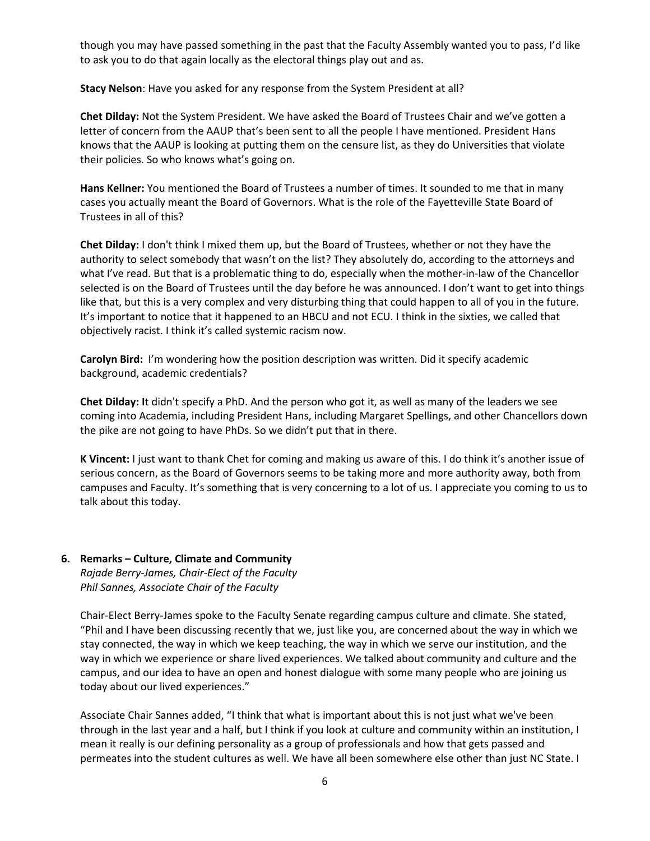though you may have passed something in the past that the Faculty Assembly wanted you to pass, I'd like to ask you to do that again locally as the electoral things play out and as.

**Stacy Nelson**: Have you asked for any response from the System President at all?

**Chet Dilday:** Not the System President. We have asked the Board of Trustees Chair and we've gotten a letter of concern from the AAUP that's been sent to all the people I have mentioned. President Hans knows that the AAUP is looking at putting them on the censure list, as they do Universities that violate their policies. So who knows what's going on.

**Hans Kellner:** You mentioned the Board of Trustees a number of times. It sounded to me that in many cases you actually meant the Board of Governors. What is the role of the Fayetteville State Board of Trustees in all of this?

**Chet Dilday:** I don't think I mixed them up, but the Board of Trustees, whether or not they have the authority to select somebody that wasn't on the list? They absolutely do, according to the attorneys and what I've read. But that is a problematic thing to do, especially when the mother-in-law of the Chancellor selected is on the Board of Trustees until the day before he was announced. I don't want to get into things like that, but this is a very complex and very disturbing thing that could happen to all of you in the future. It's important to notice that it happened to an HBCU and not ECU. I think in the sixties, we called that objectively racist. I think it's called systemic racism now.

**Carolyn Bird:** I'm wondering how the position description was written. Did it specify academic background, academic credentials?

**Chet Dilday: I**t didn't specify a PhD. And the person who got it, as well as many of the leaders we see coming into Academia, including President Hans, including Margaret Spellings, and other Chancellors down the pike are not going to have PhDs. So we didn't put that in there.

**K Vincent:** I just want to thank Chet for coming and making us aware of this. I do think it's another issue of serious concern, as the Board of Governors seems to be taking more and more authority away, both from campuses and Faculty. It's something that is very concerning to a lot of us. I appreciate you coming to us to talk about this today.

#### **6. Remarks – Culture, Climate and Community** *Rajade Berry-James, Chair-Elect of the Faculty Phil Sannes, Associate Chair of the Faculty*

Chair-Elect Berry-James spoke to the Faculty Senate regarding campus culture and climate. She stated, "Phil and I have been discussing recently that we, just like you, are concerned about the way in which we stay connected, the way in which we keep teaching, the way in which we serve our institution, and the way in which we experience or share lived experiences. We talked about community and culture and the campus, and our idea to have an open and honest dialogue with some many people who are joining us today about our lived experiences."

Associate Chair Sannes added, "I think that what is important about this is not just what we've been through in the last year and a half, but I think if you look at culture and community within an institution, I mean it really is our defining personality as a group of professionals and how that gets passed and permeates into the student cultures as well. We have all been somewhere else other than just NC State. I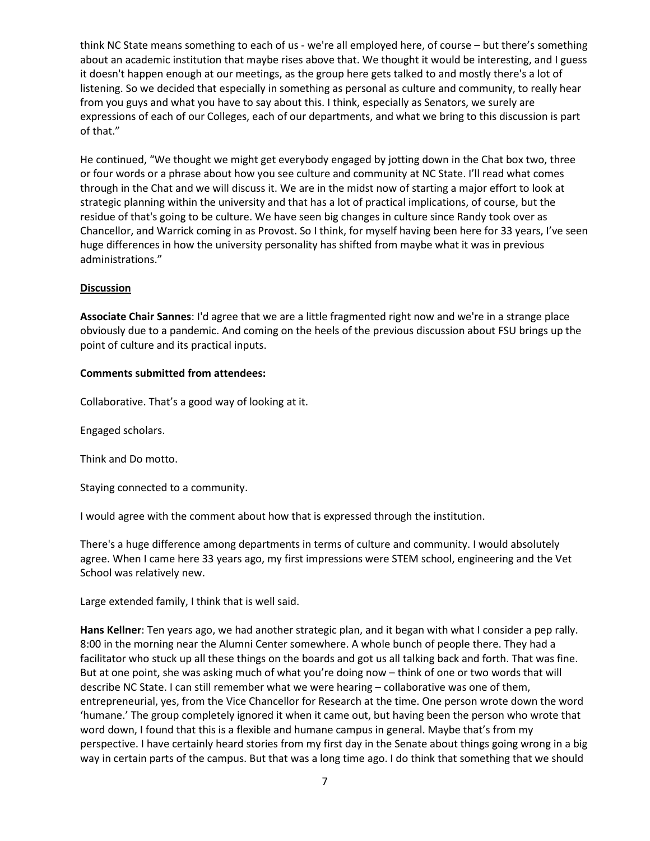think NC State means something to each of us - we're all employed here, of course – but there's something about an academic institution that maybe rises above that. We thought it would be interesting, and I guess it doesn't happen enough at our meetings, as the group here gets talked to and mostly there's a lot of listening. So we decided that especially in something as personal as culture and community, to really hear from you guys and what you have to say about this. I think, especially as Senators, we surely are expressions of each of our Colleges, each of our departments, and what we bring to this discussion is part of that."

He continued, "We thought we might get everybody engaged by jotting down in the Chat box two, three or four words or a phrase about how you see culture and community at NC State. I'll read what comes through in the Chat and we will discuss it. We are in the midst now of starting a major effort to look at strategic planning within the university and that has a lot of practical implications, of course, but the residue of that's going to be culture. We have seen big changes in culture since Randy took over as Chancellor, and Warrick coming in as Provost. So I think, for myself having been here for 33 years, I've seen huge differences in how the university personality has shifted from maybe what it was in previous administrations."

### **Discussion**

**Associate Chair Sannes**: I'd agree that we are a little fragmented right now and we're in a strange place obviously due to a pandemic. And coming on the heels of the previous discussion about FSU brings up the point of culture and its practical inputs.

#### **Comments submitted from attendees:**

Collaborative. That's a good way of looking at it.

Engaged scholars.

Think and Do motto.

Staying connected to a community.

I would agree with the comment about how that is expressed through the institution.

There's a huge difference among departments in terms of culture and community. I would absolutely agree. When I came here 33 years ago, my first impressions were STEM school, engineering and the Vet School was relatively new.

Large extended family, I think that is well said.

**Hans Kellner**: Ten years ago, we had another strategic plan, and it began with what I consider a pep rally. 8:00 in the morning near the Alumni Center somewhere. A whole bunch of people there. They had a facilitator who stuck up all these things on the boards and got us all talking back and forth. That was fine. But at one point, she was asking much of what you're doing now – think of one or two words that will describe NC State. I can still remember what we were hearing – collaborative was one of them, entrepreneurial, yes, from the Vice Chancellor for Research at the time. One person wrote down the word 'humane.' The group completely ignored it when it came out, but having been the person who wrote that word down, I found that this is a flexible and humane campus in general. Maybe that's from my perspective. I have certainly heard stories from my first day in the Senate about things going wrong in a big way in certain parts of the campus. But that was a long time ago. I do think that something that we should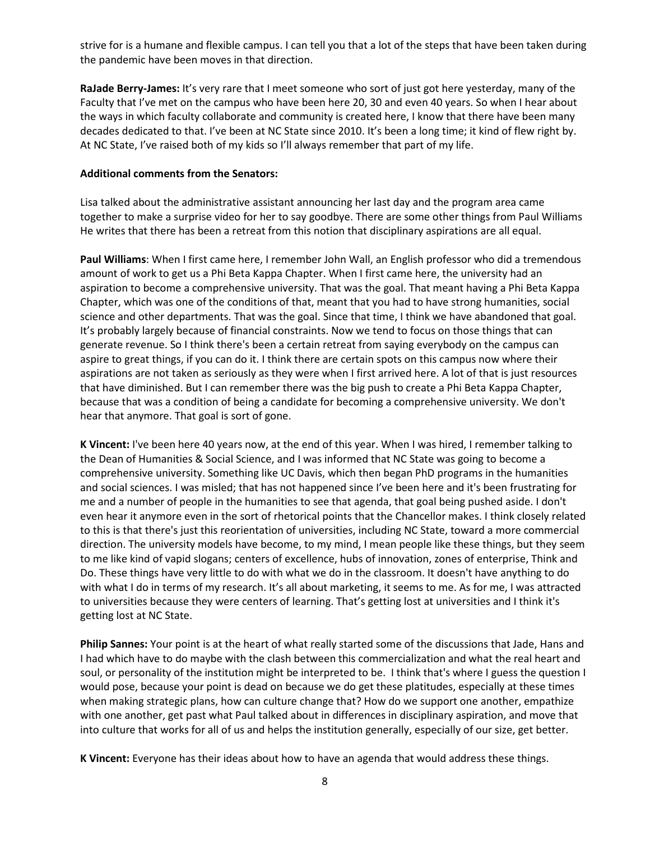strive for is a humane and flexible campus. I can tell you that a lot of the steps that have been taken during the pandemic have been moves in that direction.

**RaJade Berry-James:** It's very rare that I meet someone who sort of just got here yesterday, many of the Faculty that I've met on the campus who have been here 20, 30 and even 40 years. So when I hear about the ways in which faculty collaborate and community is created here, I know that there have been many decades dedicated to that. I've been at NC State since 2010. It's been a long time; it kind of flew right by. At NC State, I've raised both of my kids so I'll always remember that part of my life.

#### **Additional comments from the Senators:**

Lisa talked about the administrative assistant announcing her last day and the program area came together to make a surprise video for her to say goodbye. There are some other things from Paul Williams He writes that there has been a retreat from this notion that disciplinary aspirations are all equal.

**Paul Williams**: When I first came here, I remember John Wall, an English professor who did a tremendous amount of work to get us a Phi Beta Kappa Chapter. When I first came here, the university had an aspiration to become a comprehensive university. That was the goal. That meant having a Phi Beta Kappa Chapter, which was one of the conditions of that, meant that you had to have strong humanities, social science and other departments. That was the goal. Since that time, I think we have abandoned that goal. It's probably largely because of financial constraints. Now we tend to focus on those things that can generate revenue. So I think there's been a certain retreat from saying everybody on the campus can aspire to great things, if you can do it. I think there are certain spots on this campus now where their aspirations are not taken as seriously as they were when I first arrived here. A lot of that is just resources that have diminished. But I can remember there was the big push to create a Phi Beta Kappa Chapter, because that was a condition of being a candidate for becoming a comprehensive university. We don't hear that anymore. That goal is sort of gone.

**K Vincent:** I've been here 40 years now, at the end of this year. When I was hired, I remember talking to the Dean of Humanities & Social Science, and I was informed that NC State was going to become a comprehensive university. Something like UC Davis, which then began PhD programs in the humanities and social sciences. I was misled; that has not happened since I've been here and it's been frustrating for me and a number of people in the humanities to see that agenda, that goal being pushed aside. I don't even hear it anymore even in the sort of rhetorical points that the Chancellor makes. I think closely related to this is that there's just this reorientation of universities, including NC State, toward a more commercial direction. The university models have become, to my mind, I mean people like these things, but they seem to me like kind of vapid slogans; centers of excellence, hubs of innovation, zones of enterprise, Think and Do. These things have very little to do with what we do in the classroom. It doesn't have anything to do with what I do in terms of my research. It's all about marketing, it seems to me. As for me, I was attracted to universities because they were centers of learning. That's getting lost at universities and I think it's getting lost at NC State.

**Philip Sannes:** Your point is at the heart of what really started some of the discussions that Jade, Hans and I had which have to do maybe with the clash between this commercialization and what the real heart and soul, or personality of the institution might be interpreted to be. I think that's where I guess the question I would pose, because your point is dead on because we do get these platitudes, especially at these times when making strategic plans, how can culture change that? How do we support one another, empathize with one another, get past what Paul talked about in differences in disciplinary aspiration, and move that into culture that works for all of us and helps the institution generally, especially of our size, get better.

**K Vincent:** Everyone has their ideas about how to have an agenda that would address these things.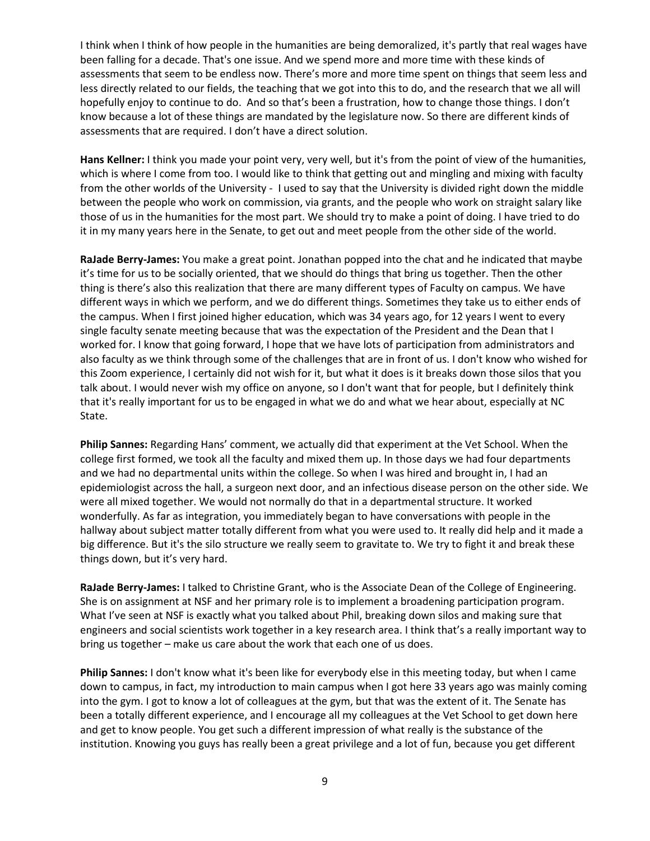I think when I think of how people in the humanities are being demoralized, it's partly that real wages have been falling for a decade. That's one issue. And we spend more and more time with these kinds of assessments that seem to be endless now. There's more and more time spent on things that seem less and less directly related to our fields, the teaching that we got into this to do, and the research that we all will hopefully enjoy to continue to do. And so that's been a frustration, how to change those things. I don't know because a lot of these things are mandated by the legislature now. So there are different kinds of assessments that are required. I don't have a direct solution.

**Hans Kellner:** I think you made your point very, very well, but it's from the point of view of the humanities, which is where I come from too. I would like to think that getting out and mingling and mixing with faculty from the other worlds of the University - I used to say that the University is divided right down the middle between the people who work on commission, via grants, and the people who work on straight salary like those of us in the humanities for the most part. We should try to make a point of doing. I have tried to do it in my many years here in the Senate, to get out and meet people from the other side of the world.

**RaJade Berry-James:** You make a great point. Jonathan popped into the chat and he indicated that maybe it's time for us to be socially oriented, that we should do things that bring us together. Then the other thing is there's also this realization that there are many different types of Faculty on campus. We have different ways in which we perform, and we do different things. Sometimes they take us to either ends of the campus. When I first joined higher education, which was 34 years ago, for 12 years I went to every single faculty senate meeting because that was the expectation of the President and the Dean that I worked for. I know that going forward, I hope that we have lots of participation from administrators and also faculty as we think through some of the challenges that are in front of us. I don't know who wished for this Zoom experience, I certainly did not wish for it, but what it does is it breaks down those silos that you talk about. I would never wish my office on anyone, so I don't want that for people, but I definitely think that it's really important for us to be engaged in what we do and what we hear about, especially at NC State.

**Philip Sannes:** Regarding Hans' comment, we actually did that experiment at the Vet School. When the college first formed, we took all the faculty and mixed them up. In those days we had four departments and we had no departmental units within the college. So when I was hired and brought in, I had an epidemiologist across the hall, a surgeon next door, and an infectious disease person on the other side. We were all mixed together. We would not normally do that in a departmental structure. It worked wonderfully. As far as integration, you immediately began to have conversations with people in the hallway about subject matter totally different from what you were used to. It really did help and it made a big difference. But it's the silo structure we really seem to gravitate to. We try to fight it and break these things down, but it's very hard.

**RaJade Berry-James:** I talked to Christine Grant, who is the Associate Dean of the College of Engineering. She is on assignment at NSF and her primary role is to implement a broadening participation program. What I've seen at NSF is exactly what you talked about Phil, breaking down silos and making sure that engineers and social scientists work together in a key research area. I think that's a really important way to bring us together – make us care about the work that each one of us does.

**Philip Sannes:** I don't know what it's been like for everybody else in this meeting today, but when I came down to campus, in fact, my introduction to main campus when I got here 33 years ago was mainly coming into the gym. I got to know a lot of colleagues at the gym, but that was the extent of it. The Senate has been a totally different experience, and I encourage all my colleagues at the Vet School to get down here and get to know people. You get such a different impression of what really is the substance of the institution. Knowing you guys has really been a great privilege and a lot of fun, because you get different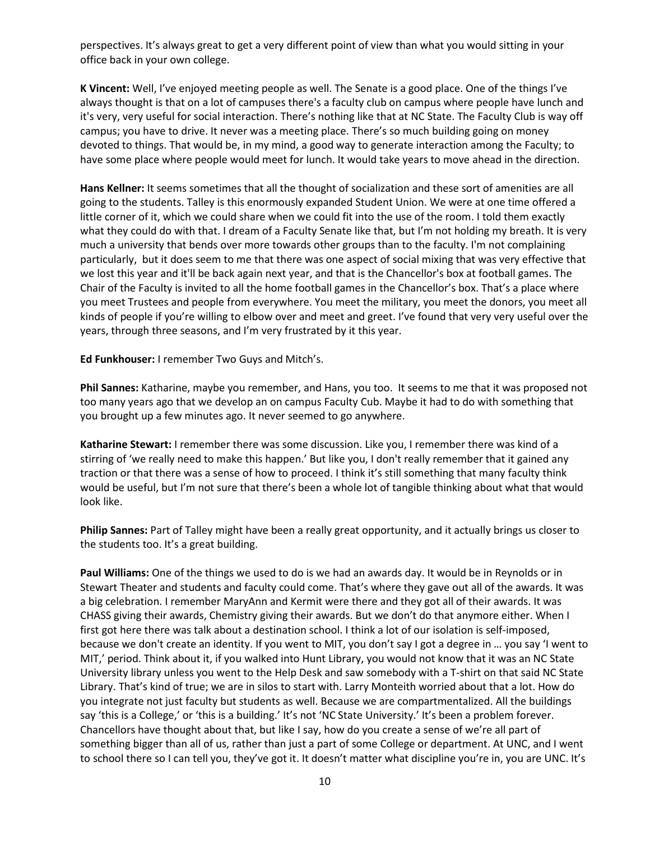perspectives. It's always great to get a very different point of view than what you would sitting in your office back in your own college.

**K Vincent:** Well, I've enjoyed meeting people as well. The Senate is a good place. One of the things I've always thought is that on a lot of campuses there's a faculty club on campus where people have lunch and it's very, very useful for social interaction. There's nothing like that at NC State. The Faculty Club is way off campus; you have to drive. It never was a meeting place. There's so much building going on money devoted to things. That would be, in my mind, a good way to generate interaction among the Faculty; to have some place where people would meet for lunch. It would take years to move ahead in the direction.

**Hans Kellner:** It seems sometimes that all the thought of socialization and these sort of amenities are all going to the students. Talley is this enormously expanded Student Union. We were at one time offered a little corner of it, which we could share when we could fit into the use of the room. I told them exactly what they could do with that. I dream of a Faculty Senate like that, but I'm not holding my breath. It is very much a university that bends over more towards other groups than to the faculty. I'm not complaining particularly, but it does seem to me that there was one aspect of social mixing that was very effective that we lost this year and it'll be back again next year, and that is the Chancellor's box at football games. The Chair of the Faculty is invited to all the home football games in the Chancellor's box. That's a place where you meet Trustees and people from everywhere. You meet the military, you meet the donors, you meet all kinds of people if you're willing to elbow over and meet and greet. I've found that very very useful over the years, through three seasons, and I'm very frustrated by it this year.

**Ed Funkhouser:** I remember Two Guys and Mitch's.

**Phil Sannes:** Katharine, maybe you remember, and Hans, you too. It seems to me that it was proposed not too many years ago that we develop an on campus Faculty Cub. Maybe it had to do with something that you brought up a few minutes ago. It never seemed to go anywhere.

**Katharine Stewart:** I remember there was some discussion. Like you, I remember there was kind of a stirring of 'we really need to make this happen.' But like you, I don't really remember that it gained any traction or that there was a sense of how to proceed. I think it's still something that many faculty think would be useful, but I'm not sure that there's been a whole lot of tangible thinking about what that would look like.

**Philip Sannes:** Part of Talley might have been a really great opportunity, and it actually brings us closer to the students too. It's a great building.

**Paul Williams:** One of the things we used to do is we had an awards day. It would be in Reynolds or in Stewart Theater and students and faculty could come. That's where they gave out all of the awards. It was a big celebration. I remember MaryAnn and Kermit were there and they got all of their awards. It was CHASS giving their awards, Chemistry giving their awards. But we don't do that anymore either. When I first got here there was talk about a destination school. I think a lot of our isolation is self-imposed, because we don't create an identity. If you went to MIT, you don't say I got a degree in … you say 'I went to MIT,' period. Think about it, if you walked into Hunt Library, you would not know that it was an NC State University library unless you went to the Help Desk and saw somebody with a T-shirt on that said NC State Library. That's kind of true; we are in silos to start with. Larry Monteith worried about that a lot. How do you integrate not just faculty but students as well. Because we are compartmentalized. All the buildings say 'this is a College,' or 'this is a building.' It's not 'NC State University.' It's been a problem forever. Chancellors have thought about that, but like I say, how do you create a sense of we're all part of something bigger than all of us, rather than just a part of some College or department. At UNC, and I went to school there so I can tell you, they've got it. It doesn't matter what discipline you're in, you are UNC. It's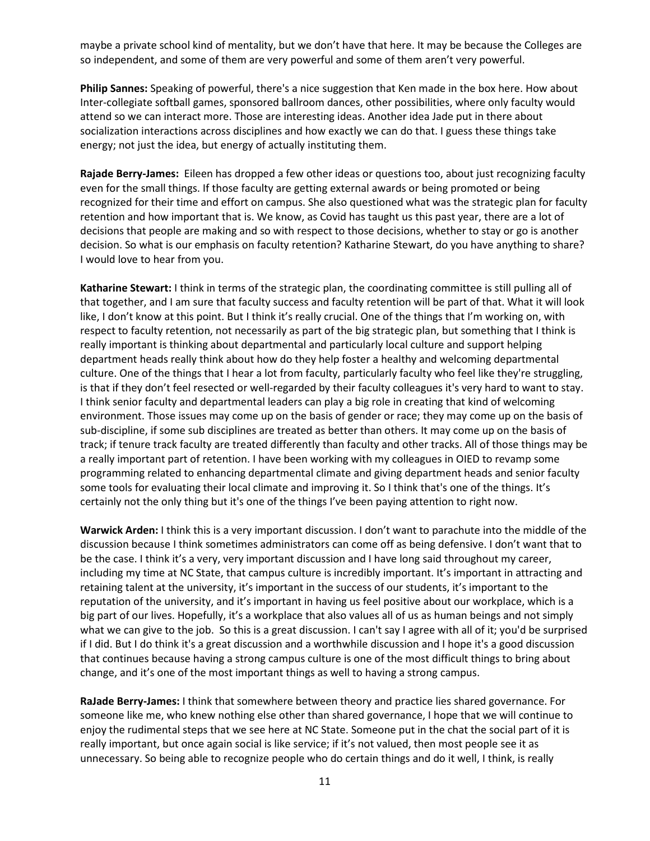maybe a private school kind of mentality, but we don't have that here. It may be because the Colleges are so independent, and some of them are very powerful and some of them aren't very powerful.

**Philip Sannes:** Speaking of powerful, there's a nice suggestion that Ken made in the box here. How about Inter-collegiate softball games, sponsored ballroom dances, other possibilities, where only faculty would attend so we can interact more. Those are interesting ideas. Another idea Jade put in there about socialization interactions across disciplines and how exactly we can do that. I guess these things take energy; not just the idea, but energy of actually instituting them.

**Rajade Berry-James:** Eileen has dropped a few other ideas or questions too, about just recognizing faculty even for the small things. If those faculty are getting external awards or being promoted or being recognized for their time and effort on campus. She also questioned what was the strategic plan for faculty retention and how important that is. We know, as Covid has taught us this past year, there are a lot of decisions that people are making and so with respect to those decisions, whether to stay or go is another decision. So what is our emphasis on faculty retention? Katharine Stewart, do you have anything to share? I would love to hear from you.

**Katharine Stewart:** I think in terms of the strategic plan, the coordinating committee is still pulling all of that together, and I am sure that faculty success and faculty retention will be part of that. What it will look like, I don't know at this point. But I think it's really crucial. One of the things that I'm working on, with respect to faculty retention, not necessarily as part of the big strategic plan, but something that I think is really important is thinking about departmental and particularly local culture and support helping department heads really think about how do they help foster a healthy and welcoming departmental culture. One of the things that I hear a lot from faculty, particularly faculty who feel like they're struggling, is that if they don't feel resected or well-regarded by their faculty colleagues it's very hard to want to stay. I think senior faculty and departmental leaders can play a big role in creating that kind of welcoming environment. Those issues may come up on the basis of gender or race; they may come up on the basis of sub-discipline, if some sub disciplines are treated as better than others. It may come up on the basis of track; if tenure track faculty are treated differently than faculty and other tracks. All of those things may be a really important part of retention. I have been working with my colleagues in OIED to revamp some programming related to enhancing departmental climate and giving department heads and senior faculty some tools for evaluating their local climate and improving it. So I think that's one of the things. It's certainly not the only thing but it's one of the things I've been paying attention to right now.

**Warwick Arden:** I think this is a very important discussion. I don't want to parachute into the middle of the discussion because I think sometimes administrators can come off as being defensive. I don't want that to be the case. I think it's a very, very important discussion and I have long said throughout my career, including my time at NC State, that campus culture is incredibly important. It's important in attracting and retaining talent at the university, it's important in the success of our students, it's important to the reputation of the university, and it's important in having us feel positive about our workplace, which is a big part of our lives. Hopefully, it's a workplace that also values all of us as human beings and not simply what we can give to the job. So this is a great discussion. I can't say I agree with all of it; you'd be surprised if I did. But I do think it's a great discussion and a worthwhile discussion and I hope it's a good discussion that continues because having a strong campus culture is one of the most difficult things to bring about change, and it's one of the most important things as well to having a strong campus.

**RaJade Berry-James:** I think that somewhere between theory and practice lies shared governance. For someone like me, who knew nothing else other than shared governance, I hope that we will continue to enjoy the rudimental steps that we see here at NC State. Someone put in the chat the social part of it is really important, but once again social is like service; if it's not valued, then most people see it as unnecessary. So being able to recognize people who do certain things and do it well, I think, is really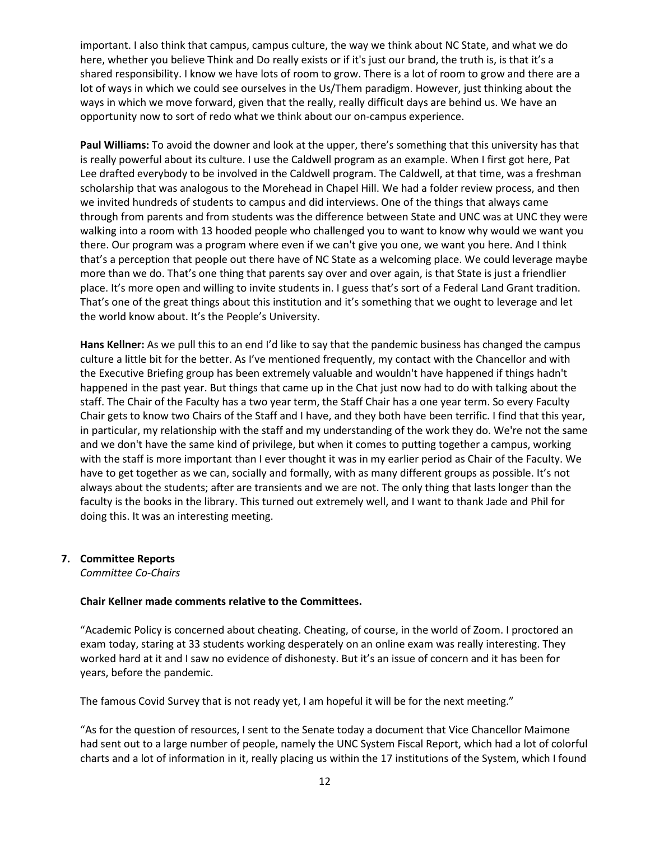important. I also think that campus, campus culture, the way we think about NC State, and what we do here, whether you believe Think and Do really exists or if it's just our brand, the truth is, is that it's a shared responsibility. I know we have lots of room to grow. There is a lot of room to grow and there are a lot of ways in which we could see ourselves in the Us/Them paradigm. However, just thinking about the ways in which we move forward, given that the really, really difficult days are behind us. We have an opportunity now to sort of redo what we think about our on-campus experience.

**Paul Williams:** To avoid the downer and look at the upper, there's something that this university has that is really powerful about its culture. I use the Caldwell program as an example. When I first got here, Pat Lee drafted everybody to be involved in the Caldwell program. The Caldwell, at that time, was a freshman scholarship that was analogous to the Morehead in Chapel Hill. We had a folder review process, and then we invited hundreds of students to campus and did interviews. One of the things that always came through from parents and from students was the difference between State and UNC was at UNC they were walking into a room with 13 hooded people who challenged you to want to know why would we want you there. Our program was a program where even if we can't give you one, we want you here. And I think that's a perception that people out there have of NC State as a welcoming place. We could leverage maybe more than we do. That's one thing that parents say over and over again, is that State is just a friendlier place. It's more open and willing to invite students in. I guess that's sort of a Federal Land Grant tradition. That's one of the great things about this institution and it's something that we ought to leverage and let the world know about. It's the People's University.

**Hans Kellner:** As we pull this to an end I'd like to say that the pandemic business has changed the campus culture a little bit for the better. As I've mentioned frequently, my contact with the Chancellor and with the Executive Briefing group has been extremely valuable and wouldn't have happened if things hadn't happened in the past year. But things that came up in the Chat just now had to do with talking about the staff. The Chair of the Faculty has a two year term, the Staff Chair has a one year term. So every Faculty Chair gets to know two Chairs of the Staff and I have, and they both have been terrific. I find that this year, in particular, my relationship with the staff and my understanding of the work they do. We're not the same and we don't have the same kind of privilege, but when it comes to putting together a campus, working with the staff is more important than I ever thought it was in my earlier period as Chair of the Faculty. We have to get together as we can, socially and formally, with as many different groups as possible. It's not always about the students; after are transients and we are not. The only thing that lasts longer than the faculty is the books in the library. This turned out extremely well, and I want to thank Jade and Phil for doing this. It was an interesting meeting.

#### **7. Committee Reports**

*Committee Co-Chairs*

#### **Chair Kellner made comments relative to the Committees.**

"Academic Policy is concerned about cheating. Cheating, of course, in the world of Zoom. I proctored an exam today, staring at 33 students working desperately on an online exam was really interesting. They worked hard at it and I saw no evidence of dishonesty. But it's an issue of concern and it has been for years, before the pandemic.

The famous Covid Survey that is not ready yet, I am hopeful it will be for the next meeting."

"As for the question of resources, I sent to the Senate today a document that Vice Chancellor Maimone had sent out to a large number of people, namely the UNC System Fiscal Report, which had a lot of colorful charts and a lot of information in it, really placing us within the 17 institutions of the System, which I found